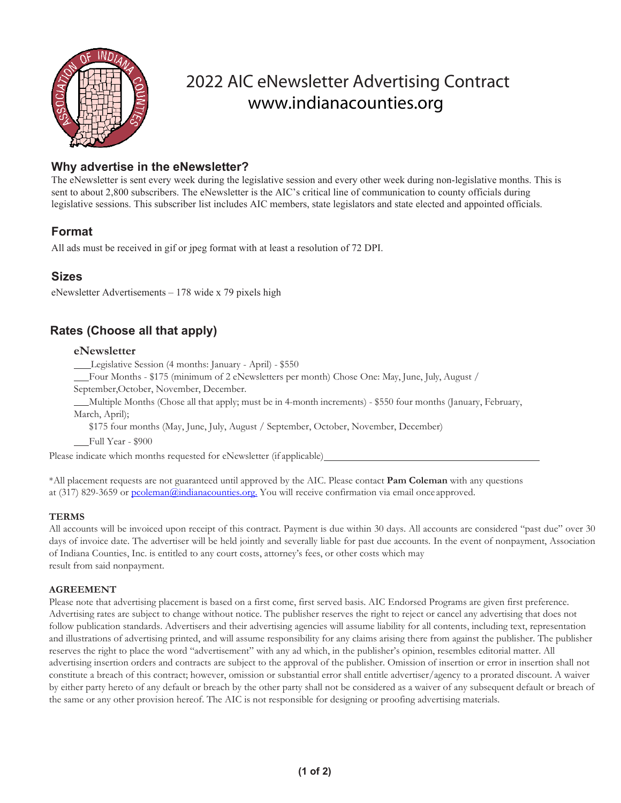

# 2022 AIC eNewsletter Advertising Contract [www.indianacounties.org](http://www.indianacounties.org/)

## **Why advertise in the eNewsletter?**

The eNewsletter is sent every week during the legislative session and every other week during non-legislative months. This is sent to about 2,800 subscribers. The eNewsletter is the AIC's critical line of communication to county officials during legislative sessions. This subscriber list includes AIC members, state legislators and state elected and appointed officials.

# **Format**

All ads must be received in gif or jpeg format with at least a resolution of 72 DPI.

# **Sizes**

eNewsletter Advertisements – 178 wide x 79 pixels high

# **Rates (Choose all that apply)**

#### **eNewsletter**

Legislative Session (4 months: January - April) - \$550

Four Months - \$175 (minimum of 2 eNewsletters per month) Chose One: May, June, July, August /

September,October, November, December.

Multiple Months (Chose all that apply; must be in 4-month increments) - \$550 four months (January, February, March, April);

\$175 four months (May, June, July, August / September, October, November, December)

Full Year - \$900

Please indicate which months requested for eNewsletter (if applicable)

\*All placement requests are not guaranteed until approved by the AIC. Please contact **Pam Coleman** with any questions at (317) 829-3659 or [pcoleman@indianacounties.org.](mailto:pcoleman@indianacounties.org.) You will receive confirmation via email once approved.

#### **TERMS**

All accounts will be invoiced upon receipt of this contract. Payment is due within 30 days. All accounts are considered "past due" over 30 days of invoice date. The advertiser will be held jointly and severally liable for past due accounts. In the event of nonpayment, Association of Indiana Counties, Inc. is entitled to any court costs, attorney's fees, or other costs which may result from said nonpayment.

#### **AGREEMENT**

Please note that advertising placement is based on a first come, first served basis. AIC Endorsed Programs are given first preference. Advertising rates are subject to change without notice. The publisher reserves the right to reject or cancel any advertising that does not follow publication standards. Advertisers and their advertising agencies will assume liability for all contents, including text, representation and illustrations of advertising printed, and will assume responsibility for any claims arising there from against the publisher. The publisher reserves the right to place the word "advertisement" with any ad which, in the publisher's opinion, resembles editorial matter. All advertising insertion orders and contracts are subject to the approval of the publisher. Omission of insertion or error in insertion shall not constitute a breach of this contract; however, omission or substantial error shall entitle advertiser/agency to a prorated discount. A waiver by either party hereto of any default or breach by the other party shall not be considered as a waiver of any subsequent default or breach of the same or any other provision hereof. The AIC is not responsible for designing or proofing advertising materials.